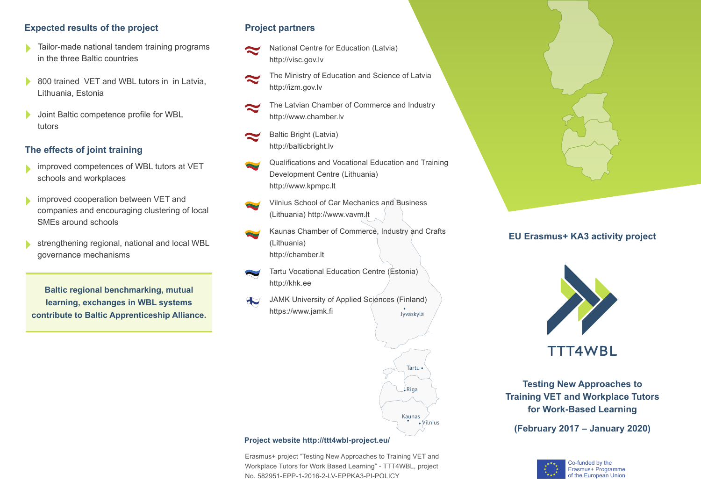## **Expected results of the project**

- Tailor-made national tandem training programs in the three Baltic countries
- 800 trained VET and WBL tutors in in Latvia, Lithuania, Estonia
- Joint Baltic competence profile for WBL tutors

# **The effects of joint training**

- improved competences of WBL tutors at VET schools and workplaces
- improved cooperation between VET and companies and encouraging clustering of local SMEs around schools
- strengthening regional, national and local WBL governance mechanisms

**Baltic regional benchmarking, mutual learning, exchanges in WBL systems contribute to Baltic Apprenticeship Alliance.**

#### **Project partners**

- National Centre for Education (Latvia) http://visc.gov.lv
- The Ministry of Education and Science of Latvia http://izm.gov.lv
- The Latvian Chamber of Commerce and Industry http://www.chamber.lv
- Baltic Bright (Latvia) http://balticbright.lv
- Qualifications and Vocational Education and Training Development Centre (Lithuania) http://www.kpmpc.lt
- Vilnius School of Car Mechanics and Business (Lithuania) http://www.vavm.lt
- Kaunas Chamber of Commerce, Industry and Crafts (Lithuania) http://chamber.lt
- Tartu Vocational Education Centre (Estonia) http://khk.ee
- JAMK University of Applied Sciences (Finland)  $\mathbf{\mathbb{R}}$ https://www.jamk.fi



#### **Project website http://ttt4wbl-project.eu/**

Erasmus+ project "Testing New Approaches to Training VET and Workplace Tutors for Work Based Learning" - TTT4WBL, project No. 582951-EPP-1-2016-2-LV-EPPKA3-PI-POLICY



# **EU Erasmus+ KA3 activity project**



**Testing New Approaches to Training VET and Workplace Tutors for Work-Based Learning**

**(February 2017 – January 2020)**